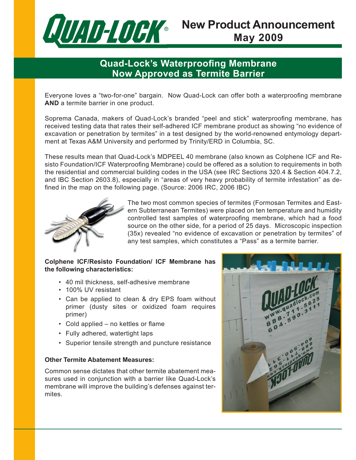

# **New Product Announcement May 2009**

### **Quad-Lock's Waterproofing Membrane Now Approved as Termite Barrier**

Everyone loves a "two-for-one" bargain. Now Quad-Lock can offer both a waterproofing membrane **AND** a termite barrier in one product.

Soprema Canada, makers of Quad-Lock's branded "peel and stick" waterproofing membrane, has received testing data that rates their self-adhered ICF membrane product as showing "no evidence of excavation or penetration by termites" in a test designed by the world-renowned entymology department at Texas A&M University and performed by Trinity/ERD in Columbia, SC.

These results mean that Quad-Lock's MDPEEL 40 membrane (also known as Colphene ICF and Resisto Foundation/ICF Waterproofing Membrane) could be offered as a solution to requirements in both the residential and commercial building codes in the USA (see IRC Sections 320.4 & Section 404.7.2, and IBC Section 2603.8), especially in "areas of very heavy probability of termite infestation" as defined in the map on the following page. (Source: 2006 IRC, 2006 IBC)



The two most common species of termites (Formosan Termites and Eastern Subterranean Termites) were placed on ten temperature and humidity controlled test samples of waterproofing membrane, which had a food source on the other side, for a period of 25 days. Microscopic inspection (35x) revealed "no evidence of excavation or penetration by termites" of any test samples, which constitutes a "Pass" as a termite barrier.

#### **Colphene ICF/Resisto Foundation/ ICF Membrane has the following characteristics:**

- 40 mil thickness, self-adhesive membrane •
- 100% UV resistant •
- Can be applied to clean & dry EPS foam without primer (dusty sites or oxidized foam requires primer)
- Cold applied no kettles or flame
- Fully adhered, watertight laps
- Superior tensile strength and puncture resistance

#### **Other Termite Abatement Measures:**

Common sense dictates that other termite abatement measures used in conjunction with a barrier like Quad-Lock's membrane will improve the building's defenses against termites.